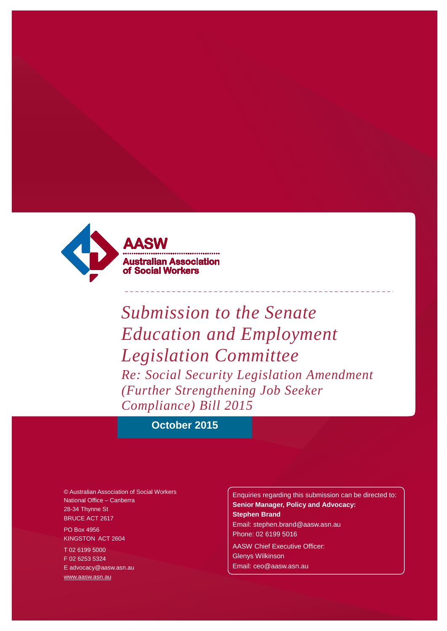

*Submission to the Senate Education and Employment Legislation Committee Re: Social Security Legislation Amendment (Further Strengthening Job Seeker Compliance) Bill 2015*

## **October 2015**

© Australian Association of Social Workers National Office – Canberra 28-34 Thynne St BRUCE ACT 2617 PO Box 4956

KINGSTON ACT 2604 T 02 6199 5000 F 02 6253 5324

[E advocacy@aasw.asn.au](mailto:advocacy@aasw.asn.au) [www.aasw.asn.au](http://www.aasw.asn.au/)

Enquiries regarding this submission can be directed to: **Senior Manager, Policy and Advocacy: Stephen Brand** [Email: stephen.brand@aasw.asn.au](mailto:stephen.brand@aasw.asn.au) Phone: 02 6199 5016

AASW Chief Executive Officer: Glenys Wilkinson [Email: ceo@aasw.asn.au](mailto:ceo@aasw.asn.au)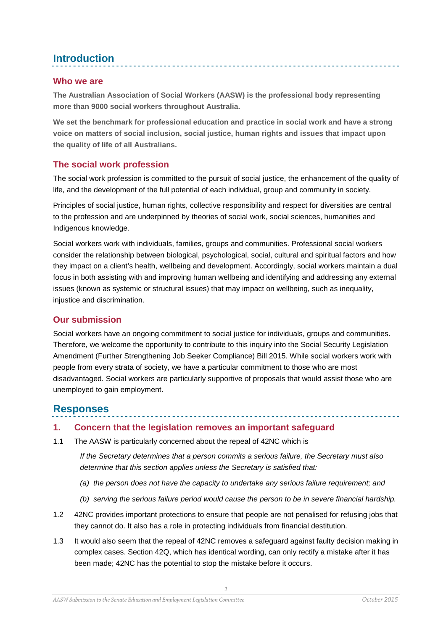# **Introduction**

### **Who we are**

**The Australian Association of Social Workers (AASW) is the professional body representing more than 9000 social workers throughout Australia.** 

**We set the benchmark for professional education and practice in social work and have a strong voice on matters of social inclusion, social justice, human rights and issues that impact upon the quality of life of all Australians.**

## **The social work profession**

The social work profession is committed to the pursuit of social justice, the enhancement of the quality of life, and the development of the full potential of each individual, group and community in society.

Principles of social justice, human rights, collective responsibility and respect for diversities are central to the profession and are underpinned by theories of social work, social sciences, humanities and Indigenous knowledge.

Social workers work with individuals, families, groups and communities. Professional social workers consider the relationship between biological, psychological, social, cultural and spiritual factors and how they impact on a client's health, wellbeing and development. Accordingly, social workers maintain a dual focus in both assisting with and improving human wellbeing and identifying and addressing any external issues (known as systemic or structural issues) that may impact on wellbeing, such as inequality, injustice and discrimination.

## **Our submission**

Social workers have an ongoing commitment to social justice for individuals, groups and communities. Therefore, we welcome the opportunity to contribute to this inquiry into the Social Security Legislation Amendment (Further Strengthening Job Seeker Compliance) Bill 2015. While social workers work with people from every strata of society, we have a particular commitment to those who are most disadvantaged. Social workers are particularly supportive of proposals that would assist those who are unemployed to gain employment.

## **Responses**

#### **1. Concern that the legislation removes an important safeguard**

1.1 The AASW is particularly concerned about the repeal of 42NC which is

*If the Secretary determines that a person commits a serious failure, the Secretary must also determine that this section applies unless the Secretary is satisfied that:*

- *(a) the person does not have the capacity to undertake any serious failure requirement; and*
- *(b) serving the serious failure period would cause the person to be in severe financial hardship.*
- 1.2 42NC provides important protections to ensure that people are not penalised for refusing jobs that they cannot do. It also has a role in protecting individuals from financial destitution.
- 1.3 It would also seem that the repeal of 42NC removes a safeguard against faulty decision making in complex cases. Section 42Q, which has identical wording, can only rectify a mistake after it has been made; 42NC has the potential to stop the mistake before it occurs.

*1*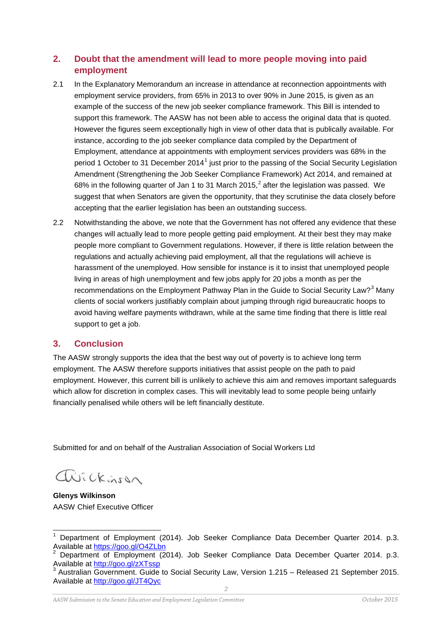### **2. Doubt that the amendment will lead to more people moving into paid employment**

- 2.1 In the Explanatory Memorandum an increase in attendance at reconnection appointments with employment service providers, from 65% in 2013 to over 90% in June 2015, is given as an example of the success of the new job seeker compliance framework. This Bill is intended to support this framework. The AASW has not been able to access the original data that is quoted. However the figures seem exceptionally high in view of other data that is publically available. For instance, according to the job seeker compliance data compiled by the Department of Employment, attendance at appointments with employment services providers was 68% in the period [1](#page-2-0) October to 31 December 2014<sup>1</sup> just prior to the passing of the Social Security Legislation Amendment (Strengthening the Job Seeker Compliance Framework) Act 2014, and remained at 68% in the following quarter of Jan 1 to 31 March [2](#page-2-1)015,<sup>2</sup> after the legislation was passed. We suggest that when Senators are given the opportunity, that they scrutinise the data closely before accepting that the earlier legislation has been an outstanding success.
- 2.2 Notwithstanding the above, we note that the Government has not offered any evidence that these changes will actually lead to more people getting paid employment. At their best they may make people more compliant to Government regulations. However, if there is little relation between the regulations and actually achieving paid employment, all that the regulations will achieve is harassment of the unemployed. How sensible for instance is it to insist that unemployed people living in areas of high unemployment and few jobs apply for 20 jobs a month as per the recommendations on the Employment Pathway Plan in the Guide to Social Security Law?<sup>[3](#page-2-2)</sup> Many clients of social workers justifiably complain about jumping through rigid bureaucratic hoops to avoid having welfare payments withdrawn, while at the same time finding that there is little real support to get a job.

#### **3. Conclusion**

The AASW strongly supports the idea that the best way out of poverty is to achieve long term employment. The AASW therefore supports initiatives that assist people on the path to paid employment. However, this current bill is unlikely to achieve this aim and removes important safeguards which allow for discretion in complex cases. This will inevitably lead to some people being unfairly financially penalised while others will be left financially destitute.

Submitted for and on behalf of the Australian Association of Social Workers Ltd

avickinson

**Glenys Wilkinson** AASW Chief Executive Officer

<span id="page-2-0"></span><sup>&</sup>lt;sup>1</sup> Department of Employment (2014). Job Seeker Compliance Data December Quarter 2014. p.3.<br>Available at https://goo.gl/O4ZLbn

<span id="page-2-1"></span><sup>&</sup>lt;sup>2</sup> Department of Employment (2014). Job Seeker Compliance Data December Quarter 2014. p.3.<br>Available at http://goo.gl/zXTssp<br> $\frac{3}{2}$ 

<span id="page-2-2"></span>Australian Government. Guide to Social Security Law, Version 1.215 – Released 21 September 2015. Available at<http://goo.gl/JT4Qyc>